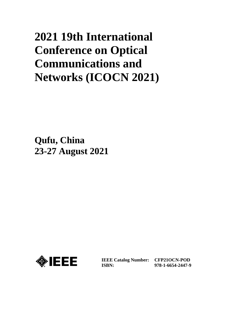# **2021 19th International Conference on Optical Communications and Networks (ICOCN 2021)**

**Qufu, China 23-27 August 2021**



**IEEE Catalog Number: CFP21OCN-POD ISBN:**

**978-1-6654-2447-9**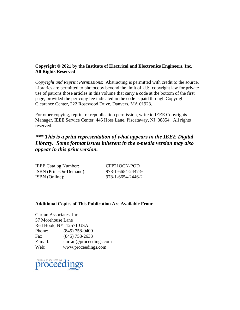### **Copyright © 2021 by the Institute of Electrical and Electronics Engineers, Inc. All Rights Reserved**

*Copyright and Reprint Permissions*: Abstracting is permitted with credit to the source. Libraries are permitted to photocopy beyond the limit of U.S. copyright law for private use of patrons those articles in this volume that carry a code at the bottom of the first page, provided the per-copy fee indicated in the code is paid through Copyright Clearance Center, 222 Rosewood Drive, Danvers, MA 01923.

For other copying, reprint or republication permission, write to IEEE Copyrights Manager, IEEE Service Center, 445 Hoes Lane, Piscataway, NJ 08854. All rights reserved.

## *\*\*\* This is a print representation of what appears in the IEEE Digital Library. Some format issues inherent in the e-media version may also appear in this print version.*

| <b>IEEE Catalog Number:</b> | CFP21OCN-POD      |
|-----------------------------|-------------------|
| ISBN (Print-On-Demand):     | 978-1-6654-2447-9 |
| ISBN (Online):              | 978-1-6654-2446-2 |

#### **Additional Copies of This Publication Are Available From:**

Curran Associates, Inc 57 Morehouse Lane Red Hook, NY 12571 USA Phone: (845) 758-0400 Fax: (845) 758-2633 E-mail: curran@proceedings.com Web: www.proceedings.com

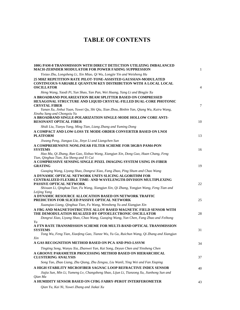## **TABLE OF CONTENTS**

| 100G PAM-8 TRANSMISSION WITH DIRECT DETECTION UTILIZING IMBALANCED<br><b>MACH-ZEHNDER MODULATOR FOR POWER FADING SUPPRESSION</b>                                                                                   | 1              |
|--------------------------------------------------------------------------------------------------------------------------------------------------------------------------------------------------------------------|----------------|
| Yixiao Zhu, Longsheng Li, Xin Miao, Qi Wu, Longjie Yin and Weisheng Hu                                                                                                                                             |                |
| 25 MHZ REPETITION RATE PILOT-TONE-ASSISTED GAUSSIAN-MODULATED<br><b>CONTINUOUS-VARIABLE QUANTUM KEY DISTRIBUTION WITH A LOCAL LOCAL</b><br><b>OSCILLATOR</b>                                                       | $\overline{4}$ |
| Heng Wang, Yaodi Pi, Yun Shao, Yan Pan, Wei Huang, Yang Li and Bingjie Xu                                                                                                                                          |                |
| A BROADBAND POLARIZATION BEAM SPLITTER BASED ON COMPRESSED                                                                                                                                                         |                |
| <b>HEXAGONAL STRUCTURE AND LIQUID CRYSTAL-FILLED DUAL-CORE PHOTONIC</b><br><b>CRYSTAL FIBER</b>                                                                                                                    | 7              |
| Yanan Xu, Jinhui Yuan, Yuwei Qu, Shi Qiu, Xian Zhou, Binbin Yan, Qiang Wu, Kuiru Wang,<br>Xinzhu Sang and Chongxiu Yu                                                                                              |                |
| A BROADBAND SINGLE-POLARIZATION SINGLE-MODE HOLLOW CORE ANTI-<br><b>RESONANT OPTICAL FIBER</b>                                                                                                                     | 10             |
| Shidi Liu, Tianyu Yang, Ming Tian, Liang Zhang and Yuming Dong                                                                                                                                                     |                |
| A COMPACT AND LOW-LOSS TE MODE-ORDER CONVERTER BASED ON LNOI<br><b>PLATFORM</b>                                                                                                                                    | 13             |
| Jiwang Peng, Jianguo Liu, Jinye Li and Liangchen Sun                                                                                                                                                               |                |
| A COMPREHENSIVE NONLINEAR FILTER SCHEME FOR 50GB/S PAM4-PON<br><b>SYSTEMS</b>                                                                                                                                      | 16             |
| Hao Ma, Qi Zhang, Ran Gao, Xishuo Wang, Xiangjun Xin, Dong Guo, Huan Chang, Feng                                                                                                                                   |                |
| Tian, Qinghua Tian, Xia Sheng and Yi Cui<br>A COMPRESSIVE SENSING SINGLE PIXEL IMAGING SYSTEM USING IN-FIBER<br><b>GRATING</b>                                                                                     | 19             |
| Guoging Wang, Liyang Shao, Dongrui Xiao, Fang Zhao, Ping Shum and Chao Wang                                                                                                                                        |                |
| A DYNAMIC OPTICAL NETWORK UNITS SLICING ALGORITHM FOR<br><b>CENTRALIZED FLEXIBLE TIME- AND WAVELENGTH-DIVISION MULTIPLEXING</b><br><b>PASSIVE OPTICAL NETWORK</b>                                                  | 22             |
| Shixuan Li, Qinghua Tian, Fu Wang, Xiangjun Xin, Qi Zhang, Yongjun Wang, Feng Tian and                                                                                                                             |                |
| Leijing Yang                                                                                                                                                                                                       |                |
| A DYNAMIC RESOURCE ALLOCATION BASED ON NETWORK TRAFFIC<br>PREDICTION FOR SLICED PASSIVE OPTICAL NETWORK                                                                                                            | 25             |
| Xuanqiao Liang, Qinghua Tian, Fu Wang, Wensheng Yu and Xiangjun Xin                                                                                                                                                |                |
| A FBG AND MAGNETOSTRICTIVE ALLOY BASED MAGNETIC FIELD SENSOR WITH<br>THE DEMODULATION REALIZED BY OPTOELECTRONIC OSCILLATOR<br>Dongrui Xiao, Liyang Shao, Chao Wang, Guoqing Wang, Yun Chen, Fang Zhao and Feihong | 28             |
| Yu                                                                                                                                                                                                                 |                |
| A FTN RATE TRANSMISSION SCHEME FOR MULTI-BAND OPTICAL TRANSMISSION<br><b>SYSTEMS</b>                                                                                                                               | 31             |
| Tong Wu, Feng Tian, Xiaofeng Gao, Tianze Wu, Yu Gu, Ruichun Wang, Oi Zhang and Xiangjun<br>Xin                                                                                                                     |                |
| A GAS RECOGNITION METHOD BASED ON PCA AND PSO-LSSVM                                                                                                                                                                | 34             |
| Tingting Song, Wanyu Xia, Zhanwei Yan, Kai Song, Deyun Chen and Yinsheng Chen                                                                                                                                      |                |
| A GROOVE PARAMETER PROCESSING METHOD BASED ON HIERARCHICAL<br><b>CLUSTERING ANALYSIS</b>                                                                                                                           | 37             |
| Song Tao, Zhao Liang, Zhu Qiang, Zhu Zengxu, Liu Wanli, Ying Wei and Fan Xiaping                                                                                                                                   |                |
| A HIGH STABILITY MICROFIBER SAGNAC LOOP REFRACTIVE INDEX SENSOR                                                                                                                                                    | 40             |
| Jiajia Sun, Min Li, Yumeng Lv, Changsheng Shao, Lijun Li, Tianzong Xu, Jianhong Sun and<br>Qian Ma                                                                                                                 |                |
| A HUMIDITY SENSOR BASED ON CFBG FABRY-PEROT INTERFEROMETER                                                                                                                                                         | 43             |
|                                                                                                                                                                                                                    |                |

 *Qian Yu, Kai Ni, Yuwei Zhang and Jiakai Xu*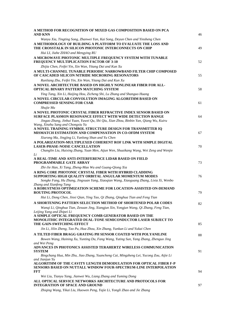| A METHOD FOR RECOGNITION OF MIXED GAS COMPOSITION BASED ON PCA<br><b>AND KNN</b>                                                                                                                   | 46 |
|----------------------------------------------------------------------------------------------------------------------------------------------------------------------------------------------------|----|
| Wanyu Xia, Tingting Song, Zhanwei Yan, Kai Song, Deyun Chen and Yinsheng Chen                                                                                                                      |    |
| A METHODOLOGY OF BUILDING A PLATFORM TO EVALUATE THE LOSS AND<br>THE CROSSTALK IN SILICON PHOTONIC INTERCONNECTS ON CHIP                                                                           | 49 |
| Hui LI, Jiahe ZHAO and Mengying RU<br>A MICROWAVE PHOTONIC MULTIPLE FREQUENCY SYSTEM WITH TUNABLE<br>FREQUENCY MULTIPLICATION FACTOR OF 3-10                                                       | 52 |
| Zhijia Chen, Feifei Yin, Xin Wan, Yitang Dai and Kun Xu                                                                                                                                            |    |
| A MULTI-CHANNEL TUNABLE PERIODIC NARROWBAND FILTER CHIP COMPOSED<br>OF CASCADED SILICON NITRIDE MICRORING RESONATORS                                                                               | 55 |
| Runliang Zhu, Feifei Yin, Xin Wan, Yitang Dai and Kun Xu                                                                                                                                           |    |
| A NOVEL ARCHITECTURE BASED ON HIGHLY NONLINEAR FIBER FOR ALL-<br>OPTICAL BINARY PATTERN MATCHING SYSTEM                                                                                            | 58 |
| Ying Tang, Xin Li, Haijing Hou, Zicheng Shi, Lu Zhang and Shanguo Huang                                                                                                                            |    |
| A NOVEL CIRCULAR CONVOLUTION IMAGING ALGORITHM BASED ON<br><b>COMPRESSED SENSING FOR CSAR</b>                                                                                                      | 61 |
| Shujie Mu                                                                                                                                                                                          |    |
| A NOVEL PHOTONIC CRYSTAL FIBER REFRACTIVE INDEX SENSOR BASED ON<br><b>SURFACE PLASMON RESONANCE EFFECT WITH WIDE DETECTION RANGE</b>                                                               | 64 |
| Jingao Zhang, Jinhui Yuan, Yuwei Qu, Shi Qiu, Xian Zhou, Binbin Yan, Qiang Wu, Kuiru<br>Wang, Xinzhu Sang and Chongxiu Yu                                                                          |    |
| A NOVEL TRAINING SYMBOL STRUCTURE DESIGN FOR TRANSMITTER IQ<br>MISMATCH ESTIMATION AND COMPENSATION IN CO-OFDM SYSTEM                                                                              | 67 |
| Xiurong Ma, Jingjing Li, Yunlong Shan and Yu Chen                                                                                                                                                  |    |
| A POLARIZATION-MULTIPLEXED COHERENT ROF LINK WITH SIMPLE DIGITAL<br><b>LASER-PHASE-NOISE CANCELLATION</b><br>Changlin Liu, Huixing Zhang, Yuan Men, Aijun Wen, Shuaikang Wang, Wei Zeng and Wenjie | 70 |
| Li                                                                                                                                                                                                 |    |
| A REAL-TIME AND ANTI-INTERFERENCE LIDAR BASED ON FIELD<br>PROGRAMMABLE GATE ARRAY                                                                                                                  | 73 |
| Zhi-Jie Han, Xi Tang, Zheng-Mao Wu and Guang-Qiong Xia                                                                                                                                             |    |
| A RING CORE PHOTONIC CRYSTAL FIBER WITH HYBRID CLADDING<br>SUPPORTING HIGH QUALITY ORBITAL ANGULAR MOMENTUM MODES                                                                                  | 76 |
| Songke Fang, Hu Zhang, Jingxuan Yang, Xiaoqian Wang, Xiaoguang Zhang, Lixia Xi, Wenbo                                                                                                              |    |
| Zhang and Xianfeng Tang<br>A ROBUSTNESS OPTIMIZATION SCHEME FOR LOCATION-ASSISTED ON-DEMAND<br><b>ROUTING PROTOCOL</b>                                                                             | 79 |
| Hui Li, Dong Chen, Jinxi Qian, Ying Tao, Qi Zhang, Qinghua Tian and Feng Tian                                                                                                                      |    |
| A SHORTENING PATTERN SELECTION METHOD OF SHORTENED POLAR CODES                                                                                                                                     |    |
| Wanqi Li, Qinghua Tian, Zexuan Jing, Xiangjun Xin, Yongjun Wang, Qi Zhang, Feng Tian,                                                                                                              | 82 |
| Leijing Yang and Zhipei Li<br>A SIMPLE OPTICAL FREQUENCY COMB GENERATOR BASED ON THE                                                                                                               |    |
| <b>MONOLITHIC INTEGRATED DUAL-TONE SEMICONDUCTOR LASER SUBJECT TO</b>                                                                                                                              |    |
| THE GAIN-SWITCHING EFFECT                                                                                                                                                                          | 85 |
| Jin Li, Jilin Zheng, Tao Pu, Hua Zhou, Xin Zhang, Yunkun Li and Yukai Chen                                                                                                                         |    |
| A TILTED FIBER BRAGG GRATING PH SENSOR COATED WITH POLYANILINE                                                                                                                                     | 88 |
| Bowen Wang, Haining Xu, Yunting Du, Fang Wang, Yuting Sun, Yang Zhang, Zhenguo Jing<br>and Wei Peng                                                                                                |    |
| ADVANCES IN PHOTONICS ASSISTED TERAHERTZ WIRELESS COMMUNICATION<br><b>SYSTEM</b>                                                                                                                   | 91 |
| Bingchang Hua, Min Zhu, Jiao Zhang, Yuancheng Cai, Mingzheng Lei, Yucong Zou, Aijie Li<br>and Jianjun Yu                                                                                           |    |
| ALGORITHM OF THE CAVITY LENGTH DEMODULATION FOR OPTICAL FIBER F-P<br>SENSORS BASED ON NUTTALL WINDOW FOUR-SPECTRUM-LINE INTERPOLATION                                                              |    |
| <b>FFT</b>                                                                                                                                                                                         | 94 |
| Wei Liu, Tianyu Yang, Jianwei Wu, Liang Zhang and Yuming Dong                                                                                                                                      |    |
| ALL OPTICAL SERVICE NETWORKS ARCHITECTURE AND PROTOCOLS FOR<br><b>INTEGRATION OF SPACE AND GROUND</b>                                                                                              | 97 |
| Zhiqing Wang, Yikai Liu, Huowen Peng, Yajie Li, Yongli Zhao and Jie Zhang                                                                                                                          |    |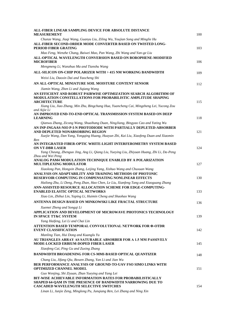| ALL-FIBER LINEAR SAMPLING DEVICE FOR ABSOLUTE DISTANCE<br><b>MEASUREMENT</b>                                                                                                                                                                                                | 100 |
|-----------------------------------------------------------------------------------------------------------------------------------------------------------------------------------------------------------------------------------------------------------------------------|-----|
| Chunze Wang, Jiaqi Wang, Guanyu Liu, Ziling Wu, Youjian Song and Minglie Hu                                                                                                                                                                                                 |     |
| ALL-FIBER SECOND-ORDER MODE CONVERTER BASED ON TWISTED LONG-<br>PERIOD FIBER GRATING                                                                                                                                                                                        | 103 |
| Mao Feng, Wenzhe Chang, Baiwei Mao, Pan Wang, Zhi Wang and Yan-ge Liu<br>ALL-OPTICAL WAVELENGTH CONVERSION BASED ON BOROPHENE-MODIFIED<br><b>MICROFIBER</b>                                                                                                                 | 106 |
| Mengmeng Li, Wanzhuo Ma and Tianshu Wang                                                                                                                                                                                                                                    |     |
| ALL-SILICON ON-CHIP POLARIZER WITH > 415 NM WORKING BANDWIDTH                                                                                                                                                                                                               | 109 |
| Weixi Liu, Daoxin Dai and Yaocheng Shi                                                                                                                                                                                                                                      |     |
| AN ALL-OPTICAL MINIATURE SOIL MOISTURE CONTENT SENSOR                                                                                                                                                                                                                       | 112 |
| Jiamin Wang, Zhen Li and Jigiang Wang                                                                                                                                                                                                                                       |     |
| AN EFFICIENT AND ROBUST PAIRWISE OPTIMIZATION SEARCH ALGORITHM OF<br><b>MODULATION CONSTELLATIONS FOR PROBABILISTIC AMPLITUDE SHAPING</b><br><b>ARCHITECTURE</b><br>Xiang Liu, Jiao Zhang, Min Zhu, Bingchang Hua, Yuancheng Cai, Mingzheng Lei, Yucong Zou<br>and Aijie Li | 115 |
| AN IMPROVED END-TO-END OPTICAL TRANSMISSION SYSTEM BASED ON DEEP<br><b>LEARNING</b>                                                                                                                                                                                         | 118 |
| Qianwu Zhang, Zicong Wang, Shuaihang Duan, NingJiang, Bingyao Cao and Yating Wu<br>AN INP-INGAAS-NIO P-I-N PHOTODIODE WITH PARTIALLY DEPLETED-ABSORBER<br>AND DEPLETED NONABSORBING REGION                                                                                  | 121 |
| Xuejie Wang, Dan Yang, Yongqing Huang, Huayun Zhi, Kai Liu, Xiaofeng Duan and Xiaomin                                                                                                                                                                                       |     |
| Ren<br>AN INTEGRATED FIBER-OPTIC WHITE-LIGHT INTERFEROMETRY SYSTEM BASED<br><b>ON VT-DBR LASER</b>                                                                                                                                                                          | 124 |
| Yang Cheung, Zhenguo Jing, Ang Li, Qiang Liu, Yueying Liu, Zhiyuan Huang, Zhi Li, Da-Peng<br>Zhou and Wei Peng<br>ANALOG PAM4 MODULATION TECHNIQUE ENABLED BY A POLARIZATION<br><b>MULTIPLEXING MODULATOR</b>                                                               | 127 |
| Xiaolong Pan, Hongxin Zhang, Leijing Yang, Xishuo Wang and Chuxuan Wang                                                                                                                                                                                                     |     |
| ANALYSIS ON ADAPTABILITY AND TRAINING METHODS OF PHOTONIC<br>RESERVOIR COMPUTING IN COMPENSATING NONLINEAR EFFECTS                                                                                                                                                          | 130 |
| Hailong Zhu, Li Deng, Peng Zhan, Hao Chen, Le Liu, Xianfeng Tang and Xiaoguang Zhang                                                                                                                                                                                        |     |
| ANN-ASSISTED RESOURCE ALLOCATION SCHEME FOR EDGE-COMPUTING-<br><b>ENABLED ELASTIC OPTICAL NETWORKS</b>                                                                                                                                                                      | 133 |
| Xiao Lin, Zhihui Lin, Yaping Li, Huimin Cheng and Shaohao Wang                                                                                                                                                                                                              |     |
| ANTENNA DESIGN BASED ON MINKOWSKI LIKE FRACTAL STRUCTURE                                                                                                                                                                                                                    | 136 |
| Xuemei Zheng and Songqi Li                                                                                                                                                                                                                                                  |     |
| APPLICATION AND DEVELOPMENT OF MICROWAVE PHOTONICS TECHNOLOGY<br><b>IN SPACE TT&amp;C SYSTEM</b>                                                                                                                                                                            | 139 |
| Yang Haifeng, Lei Li and Chai Lin<br>ATTENTION BASED TEMPORAL CONVOLUTIONAL NETWORK FOR Ф-OTDR<br><b>EVENT CLASSIFICATION</b>                                                                                                                                               | 142 |
| Manling Tian, Hui Dong and Kuanglu Yu                                                                                                                                                                                                                                       |     |
| AU TRIANGLES ARRAY AS SATURABLE ABSORBER FOR A 1.5 MM PASSIVELY<br><b>MODE-LOCKED ERBIUM-DOPED FIBER LASER</b>                                                                                                                                                              | 145 |
| Xiaofeng Cai, Ping Gu and Zuxing Zhang                                                                                                                                                                                                                                      |     |
| BANDWIDTH BROADENING FOR CS-MMI-BASED OPTICAL QUANTIZER                                                                                                                                                                                                                     | 148 |
| Chang Liu, Jifang Qiu, Bowen Zhang, Yan Li and Jian Wu<br>BER PERFORMANCE ANALYSIS OF GROUND-TO-UAV FSO SIMO LINKS WITH<br>OPTIMIZED CHANNEL MODEL                                                                                                                          | 151 |
| Guo Wenjing, Shi Ziyuan, Zhan Yueying and Yang Lei                                                                                                                                                                                                                          |     |
| BIT-WISE ACHIEVABLE INFORMATION RATES FOR PROBABILISTICALLY<br>SHAPED 64-QAM IN THE PRESENCE OF BANDWIDTH NARROWING DUE TO<br>CASCADED WAVELENGTH SELECTIVE SWITCHES                                                                                                        | 154 |

 *Linan Li, Junjie Zeng, Minglong Pu, Junqiang Ren, Lei Zhang and Ning Xin*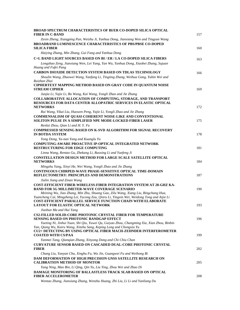| <b>BROAD SPECTRUM CHARACTERISTICS OF BI/ER CO-DOPED SILICA OPTICAL</b><br><b>FIBER IN C-BAND</b>                                                                                                                  | 157 |
|-------------------------------------------------------------------------------------------------------------------------------------------------------------------------------------------------------------------|-----|
| Zexin Zheng, Xiangping Pan, Weizhu Ji, Yanhua Dong, Jianxiang Wen and Tingyun Wang<br><b>BROADBAND LUMINESCENCE CHARACTERISTICS OF PBS/PBSE CO-DOPED</b>                                                          |     |
| <b>SILICA FIBER</b>                                                                                                                                                                                               | 160 |
| Haiying Zhang, Min Zhang, Gui Fang and Yanhua Dong                                                                                                                                                                |     |
| C+L BAND LIGHT SOURCES BASED ON BI / ER / LA CO-DOPED SILICA FIBERS                                                                                                                                               | 163 |
| Longzhao Zeng, Jianxiang Wen, Lei Yang, Yan Wu, Yanhua Dong, Xiaobei Zhang, Sujuan<br>Huang and Fufei Pang                                                                                                        |     |
| <b>CARBON DIOXIDE DETECTION SYSTEM BASED ON TDLAS TECHNOLOGY</b>                                                                                                                                                  | 166 |
| Shoulin Wang, Zhaowei Wang, Yanfang Li, Tingting Zhang, Weihua Gong, Yubin Wei and<br>Ruizhan Zhai                                                                                                                |     |
| <b>CIPHERTEXT MAPPING METHOD BASED ON GRAY CODE IN QUANTUM NOISE</b><br><b>STREAM CIPHER</b>                                                                                                                      | 169 |
| Junjia Li, Yajie Li, Bo Wang, Kai Wang, Yongli Zhao and Jie Zhang                                                                                                                                                 |     |
| <b>COLLABORATIVE ALLOCATION OF COMPUTING, STORAGE, AND TRANSPORT</b><br>RESOURCES FOR DATA CENTER ALLOPATRIC SERVICES IN ELASTIC OPTICAL                                                                          |     |
| <b>NETWORKS</b>                                                                                                                                                                                                   | 172 |
| Rui Wang, Yikai Liu, Huowen Peng, Yajie Li, Yongli Zhao and Jie Zhang<br>COMMENSALISM OF QUASI-COHERENT NOISE-LIKE AND CONVENTIONAL                                                                               |     |
| SOLITON PULSE IN A SIMPLIFIED NPE MODE-LOCKED FIBER LASER                                                                                                                                                         | 175 |
| Renlai Zhou, Qian Li and H.Y. Fu                                                                                                                                                                                  |     |
| <b>COMPRESSED SENSING BASED ON K-SVD ALGORITHM FOR SIGNAL RECOVERY</b><br><b>IN BOTDA SYSTEM</b>                                                                                                                  | 178 |
| Yong Dong, Ya-nan Yang and Kuanglu Yu                                                                                                                                                                             |     |
| COMPUTING-AWARE PROACTIVE IP-OPTICAL INTEGRATED NETWORK<br>RESTRUCTURING FOR EDGE COMPUTING                                                                                                                       | 181 |
| Linna Wang, Rentao Gu, Zhekang Li, Ruoxing Li and Yuefeng Ji                                                                                                                                                      |     |
| <b>CONSTELLATION DESIGN METHOD FOR LARGE SCALE SATELLITE OPTICAL</b><br><b>NETWORKS</b>                                                                                                                           | 184 |
| Mingzhu Yang, Xinyi He, Wei Wang, Yongli Zhao and Jie Zhang                                                                                                                                                       |     |
| CONTINUOUS CHIRPED-WAVE PHASE-SENSITIVE OPTICAL TIME-DOMAIN<br>REFLECTOMETRY: PRINCIPLES AND DEMONSTRATIONS                                                                                                       | 187 |
| Jialin Jiang and Zinan Wang                                                                                                                                                                                       |     |
| COST-EFFICIENT FIBER-WIRELESS-FIBER INTEGRATION SYSTEM AT 28-GHZ KA-<br><b>BAND FOR 5G MILLIMETER-WAVE COVERAGE SCENARIO</b><br>Meining Wu, Jiao Zhang, Min Zhu, Shuang Gao, Zilu Wang, Xiang Liu, Bingchang Hua, | 190 |
| Yuancheng Cai, Mingzheng Lei, Yucong Zou, Qinru Li, Yingxin Wei, Weidong Tong and Aijie Li                                                                                                                        |     |
| COST-EFFICIENT PARALLEL SERVICE FUNCTION CHAIN WITH ELABORATE                                                                                                                                                     |     |
| LAYOUT FOR ELASTIC OPTICAL NETWORK                                                                                                                                                                                | 193 |
| Jiashun Ma and Hui Yang                                                                                                                                                                                           |     |
| <b>CS2-FILLED SOLID-CORE PHOTONIC CRYSTAL FIBER FOR TEMPERATURE</b><br>SENSING BASED ON PHOTONIC BANDGAP EFFECT                                                                                                   | 196 |
| Yueting Ni, Jinhui Yuan, Shi Qiu, Yuwei Qu, Guiyao Zhou, Changming Xia, Xian Zhou, Binbin                                                                                                                         |     |
| Yan, Qiang Wu, Kuiru Wang, Xinzhu Sang, Keping Long and Chongxiu Yu                                                                                                                                               |     |
| CU2+ DETECTING BY USING OPTICAL FIBER MACH-ZEHNDER INTERFEROMETER<br><b>COATED WITH CS/PAA</b>                                                                                                                    | 199 |
| Yanmei Tang, Qianqian Zhang, Xinyong Dong and Chi Chiu Chan                                                                                                                                                       |     |
| <b>CURVATURE SENSOR BASED ON CASCADED DUAL-CORE PHOTONIC CRYSTAL</b><br><b>FIBER</b>                                                                                                                              | 202 |
| Chang Liu, Yanyan Chu, Xinghu Fu, Wa Jin, Guangwei Fu and Weihong Bi                                                                                                                                              |     |
| DAM DEFORMATION OF HIGH PRECISION GNSS SATELLITE RESEARCH ON<br><b>CALIBRATION METHOD OF MONITOR</b>                                                                                                              | 205 |
| Yang Ning, Mao Bin, Li Qing, Qin Yu, Liu Ying, Zhou Wei and Zhao Di                                                                                                                                               |     |
| DAMAGE MONITORING OF BALLASTLESS TRACK SLAB BASED ON OPTICAL<br><b>FIBER ACCELEROMETER</b>                                                                                                                        | 208 |
| Wentao Zhang, Jianxiang Zhang, Wenzhu Huang, Zhi Liu, Li Li and Yanliang Du                                                                                                                                       |     |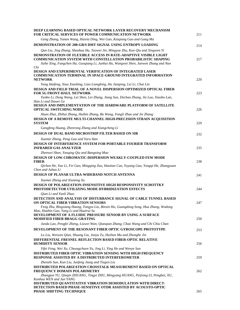| DEEP LEARNING BASED OPTICAL NETWORK LAYER RECOVERY MECHANISM<br><b>FOR CRITICAL SERVICES OF POWER COMMUNICATION NETWORK</b>                                                                                                           | 211 |
|---------------------------------------------------------------------------------------------------------------------------------------------------------------------------------------------------------------------------------------|-----|
| Geng Zhang, Yanan Wang, Huixia Ding, Wei Gao, Kaiqiang Gao and Gang Ma                                                                                                                                                                |     |
| DEMONSTRATION OF 200-GB/S DMT SIGNAL USING ENTROPY LOADING                                                                                                                                                                            | 214 |
| Qun Liu, Jing Zhang, Shaohua Hu, Taowei Jin, Mingyue Zhu, Kun Qiu and Xingwen Yi                                                                                                                                                      |     |
| <b>DEMONSTRATION OF FLEXIBLE ACCESS IN RATE-ADAPTIVE VISIBLE LIGHT</b><br><b>COMMUNICATION SYSTEM WITH CONSTELLATION PROBABILISTIC SHAPING</b><br>Sizhe Xing, Fangchen Hu, Guoqiang Li, Junhui Hu, Wangwei Shen, Junwen Zhang and Nan | 217 |
| Chi<br><b>DESIGN AND EXPERIMENTAL VERIFICATION OF INTEGRATED LASER</b><br><b>COMMUNICATION TERMINAL IN SPACE-GROUND INTEGRATED INFORMATION</b><br><b>NETWORK</b>                                                                      | 220 |
| Yang Haifeng, Xiao Xiaobing, Liao Liangbing, Hu Jianping, Lei Li, Chai Lin                                                                                                                                                            |     |
| DESIGN AND FIELD TRIAL OF A NOVEL DISPERSION OPTIMIZED OPTICAL FIBER<br><b>FOR 5G FRONT-HAUL NETWORK</b><br>Yunbo Li, Dong Wang, Lei Shen, Lei Zhang, Jiang Sun, Dechao Zhang, Jie Luo, Xiaobo Lan,                                   | 223 |
| Han Li and Dawei Ge<br>DESIGN AND IMPLEMENTATION OF THE HARDWARE PLATFORM OF SATELLITE<br><b>OPTICAL SWITCHING NODE</b>                                                                                                               | 226 |
| Huan Zhai, Zhihui Zhang, Huibin Zhang, Bo Wang, Yongli Zhao and Jie Zhang                                                                                                                                                             |     |
| DESIGN OF A REMOTE MULTI-CHANNEL HIGH-PRECISION STRAIN ACQUISITION<br><b>SYSTEM</b>                                                                                                                                                   | 229 |
| Gangfeng Huang, Zhenrong Zhang and Xiangcheng Li                                                                                                                                                                                      |     |
| DESIGN OF DUAL BAND MICROSTRIP FILTER BASED ON SIR                                                                                                                                                                                    | 232 |
| Xuemei Zheng, Peng Gao and Yaru Han                                                                                                                                                                                                   |     |
| <b>DESIGN OF INTERFERENCE SYSTEM FOR PORTABLE FOURIER TRANSFORM</b><br><b>INFRARED GAS ANALYZER</b>                                                                                                                                   | 235 |
| Zhenwei Shan, Yanqing Qiu and Bangning Mao<br>DESIGN OF LOW-CHROMATIC-DISPERSION WEAKLY-COUPLED FEW MODE<br><b>FIBER</b>                                                                                                              | 238 |
| Qichen He, Yao Li, Fei Gao, Mingqing Zuo, Haotian Cao, Yuyang Gao, Yongqi He, Zhangyuan<br>Chen and Juhao Li                                                                                                                          |     |
| DESIGN OF PLANAR ULTRA-WIDEBAND NOTCH ANTENNA                                                                                                                                                                                         | 241 |
| Xuemei Zheng and Xiuming Xu<br><b>DESIGN OF POLARIZATION-INSENSITIVE HIGH RESPONSIVITY SCHOTTKY</b><br>PHOTODETECTOR UTILIZING MODE HYBRIDIZATION EFFECTS                                                                             | 244 |
| Qian Li and Yanli Zhao                                                                                                                                                                                                                |     |
| DETECTION AND ANALYSIS OF DISTURBANCE SIGNAL OF CABLE TUNNEL BASED<br>ON OPTICAL FIBER VIBRATION SENSORS<br>Feng Zhu, Bingxiang Huang, Tongyu Liu, Binxin Hu, Guangdong Song, Hua Zhang, Wodong                                       | 247 |
| Mao, Huabin Gao, Yang Li and Huairui Su<br>DEVELOPMENT OF A FLUIDIC PRESSURE SENSOR BY USING A SURFACE<br><b>MODIFIED FIBER BRAGG GRATING</b>                                                                                         | 250 |
| Junda Lao, Pengfei Zheng, Liuwei Wan, Qianqian Zhang, Chao Wang and Chi Chiu Chan                                                                                                                                                     |     |
| DEVELOPMENT OF THE RESONANT FIBER OPTIC GYROSCOPE PROTOTYPE                                                                                                                                                                           | 253 |
| Lu Liu, Weiwen Qian, Shuang Liu, Junyu Tu, Huilian Ma and Zhonghe Jin<br>DIFFERENTIAL FRESNEL REFLECTION BASED FIBER-OPTIC RELATIVE<br><b>HUMIDITY SENSOR</b>                                                                         | 256 |
| Yifei Feng, Wei Xu, Cheungchuen Yu, Jing Li, Ying He and Wenye Sun                                                                                                                                                                    |     |
| <b>DISTRIBUTED FIBER OPTIC VIBRATION SENSING WITH HIGH FREQUENCY</b><br><b>RESPONSE ASSISTED BY A DISTRIBUTED INTERFEROMETER</b>                                                                                                      | 259 |
| Zhenshi Sun, Kun Liu, Junfeng Jiang and Tiegen Liu                                                                                                                                                                                    |     |
| DISTRIBUTED POLARIZATION CROSSTALK MEASUREMENT BASED ON OPTICAL<br>FREQUENCY DOMAIN POLARIMETRY<br>Zhangjun YU, Qinqin ZHUANG, Tingyi ZHU, Mingyang HUANG, Peijiong LI, Pengbai, XU,                                                  | 262 |
| Kunhua WEN and Jun YANG<br>DISTRIBUTED QUANTITATIVE VIBRATION DEMODULATION WITH DIRECT-                                                                                                                                               |     |
| DETECTION BASED PHASE-SENSITIVE OTDR ASSISTED BY ACOUSTO-OPTIC<br>PHASE SHIFTING TECHNIQUE                                                                                                                                            | 265 |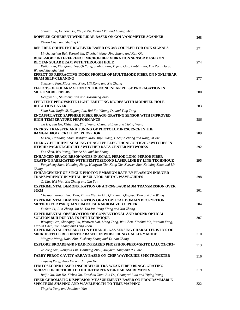| Shuaiqi Liu, Feihong Yu, Weijie Xu, Mang I Vai and Liyang Shao                                                                                                                                                                                   |     |
|--------------------------------------------------------------------------------------------------------------------------------------------------------------------------------------------------------------------------------------------------|-----|
| DOPPLER COHERENT WIND LIDAR BASED ON GOLVANOMETER SCANNER                                                                                                                                                                                        | 268 |
| Xinxin Chen and Shuling Hu                                                                                                                                                                                                                       |     |
| <b>DSP-FREE COHERENT RECEIVER BASED ON 3x3 COUPLER FOR OOK SIGNALS</b>                                                                                                                                                                           | 271 |
| Linchangchun Bai, Taowei Jin, Zhaohui Wang, Jing Zhang and Kun Qiu                                                                                                                                                                               |     |
| <b>DUAL-MODE INTERFERENCE MICROFIBER VIBRATION SENSOR BASED ON</b><br>RECTANGULAR BEAM WITH THROUGH HOLE<br>Kaijun Liu, Xianglong Zou, Qi Yang, Junhao Fan, Yufeng Guo, Binbin Luo, Xue Zou, Decao<br>Wu and Shenghui Shi                        | 274 |
| EFFECT OF REFRACTIVE INDEX PROFILE OF MULTIMODE-FIBER ON NONLINEAR<br><b>BEAM SELF-CLEANING</b>                                                                                                                                                  | 277 |
| Shuzheng Fan, Xiaosheng Xiao, Lili Kong and Xia Zhang                                                                                                                                                                                            |     |
| EFFECTS OF POLARIZATION ON THE NONLINEAR PULSE PROPAGATION IN<br><b>MULTIMODE FIBERS</b>                                                                                                                                                         | 280 |
| Hengyu Liu, Shuzheng Fan and Xiaosheng Xiao                                                                                                                                                                                                      |     |
| <b>EFFICIENT PEROVSKITE LIGHT-EMITTING DIODES WITH MODIFIED HOLE</b><br><b>INJECTION LAYER</b>                                                                                                                                                   | 283 |
| Shuo Sun, Junjie Si, Zugang Liu, Rui Xu, Yihang Du and Ying Tang<br><b>ENCAPSULATED SAPPHIRE FIBER BRAGG GRATING SENSOR WITH IMPROVED</b>                                                                                                        |     |
| <b>HIGH-TEMPERATURE PERFORMANCE</b>                                                                                                                                                                                                              | 286 |
| Jia He, Jun He, Xizhen Xu, Ying Wang, Changrui Liao and Yiping Wang                                                                                                                                                                              |     |
| <b>ENERGY TRANSFER AND TUNING OF PHOTOLUMINESCENCE IN THE</b>                                                                                                                                                                                    |     |
| <b>BAMGAL10017: CR3+ EU2+ PHOSPHOR</b>                                                                                                                                                                                                           | 289 |
| Li You, Tianliang Zhou, Minqian Mao, Jinyi Wang, Chenjie Zhang and Rongjun Xie<br><b>ENERGY-EFFICIENT SCALING OF ACTIVE ELECTRICAL/OPTICAL SWITCHES IN</b><br><b>HYBRID PACKET/CIRCUIT SWITCHED DATA CENTER NETWORKS</b>                         | 292 |
| Yan Shen, Wei Wang, Tianhe Liu and Jie Zhang                                                                                                                                                                                                     |     |
| <b>ENHANCED BRAGG RESONANCES IN SMALL PERIOD LONG PERIOD FIBER</b><br>GRATING FABRICATED WITH FEMTOSECOND LASER LINE BY LINE TECHNIQUE<br>Fangcheng Shen, Haiming Jiang, Hongyan Xia, Kang Xie, Xuewen Shu, Kaiming Zhou and Lin<br><i>Zhang</i> | 295 |
| <b>ENHANCEMENT OF SINGLE-PHOTON EMISSION RATE BY PLASMON INDUCED</b><br><b>TRANSPARENCY IN METAL-INSULATOR-METAL WAVEGUIDES</b>                                                                                                                  | 298 |
| Oi Liu, Wei Wei, Xia Zhang and Xin Yan                                                                                                                                                                                                           |     |
| <b>EXPERIMENTAL DEMONSTRATION OF A 2×20G BAUD MDM TRANSMISSION OVER</b><br><b>20KM</b>                                                                                                                                                           | 301 |
| Chuxuan Wang, Feng Tian, Tianze Wu, Yu Gu, Qi Zhang, Qinghua Tian and Jue Wang<br><b>EXPERIMENTAL DEMONSTRATION OF AN OPTICAL DOMAIN DECRYPTION</b><br>METHOD FOR PSK QUANTUM NOISE RANDOMIZED CIPHER                                            | 304 |
| Yunkun Li, Jilin Zheng, Jin Li, Tao Pu, Peng Xiang and Xin Zhang                                                                                                                                                                                 |     |
| <b>EXPERIMENTAL OBSERVATION OF CONVENTIONAL AND BOUND OPTICAL</b><br>SOLITON BUILDUP VIA TS-DFT TECHNIQUE<br>Weiqing Gao, Shaoqing Liu, Wenwen Dai, Liang Tong, Wu Chen, Xiaohui Ma, Wentan Fang,                                                | 307 |
| Xiaolin Chen, Wei Zhang and Yong Zhou<br><b>EXPERIMENTAL RESEARCH ON ETHANOL GAS SENSING CHARACTERISTICS OF</b><br>MICROBOTTLE RESONATOR BASED ON WHISPERING GALLERY MODE<br>Mingyue Wang, Naisi Zhu, Xusheng Zhang and Ya-nan Zhang             | 310 |
| <b>EXPLORE BROADBAND NEAR-INFRARED PHOSPHOR-PEROVSKITE LALUO3:CR3+</b>                                                                                                                                                                           |     |
| Zhicong Sun, Ronghui Liu, Tianliang Zhou, Xueyuan Tang and R.J. Xie                                                                                                                                                                              | 313 |
| <b>FABRY-PEROT CAVITY ARRAY BASED ON-CHIP WAVEGUIDE SPECTROMETER</b>                                                                                                                                                                             |     |
| Jinpeng Pang, Xiao Ma and Jianjun He                                                                                                                                                                                                             | 316 |
| <b>FEMTOSECOND LASER-INSCRIBED ULTRA-WEAK FIBER BRAGG GRATING</b><br><b>ARRAY FOR DISTRIBUTED HIGH-TEMPERATURE MEASUREMENTS</b>                                                                                                                  | 319 |
| Baijie Xu, Jun He, Xizhen Xu, Xunzhou Xiao, Bin Du, Changrui Liao and Yiping Wang                                                                                                                                                                |     |
| FIBER CHROMATIC DISPERSION MEASUREMENTS BASED ON PROGRAMMABLE<br>SPECTRUM SHAPING AND WAVELENGTH-TO-TIME MAPPING                                                                                                                                 | 322 |
| Yingshu Yang and Juanjuan Yan                                                                                                                                                                                                                    |     |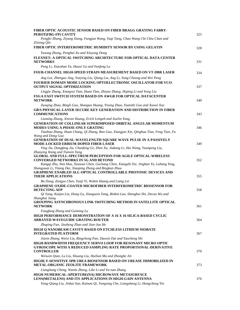| FIBER OPTIC ACOUSTIC SENSOR BASED ON FIBER BRAGG GRATING FABRY-                                                                                                                                            |     |
|------------------------------------------------------------------------------------------------------------------------------------------------------------------------------------------------------------|-----|
| PEROT(FBG-FP) CAVITY<br>Pengfei Zhang, Ziyang Xiang, Fangjun Wang, Yaqi Tang, Chao Wang Chi Chiu Chan and                                                                                                  | 325 |
| Zixiong Qin                                                                                                                                                                                                |     |
| FIBER OPTIC INTERFEROMETRIC HUMIDITY SENSOR BY USING GELATIN                                                                                                                                               | 328 |
| Yusong Zhong, Pengbai Xu and Xinyong Dong                                                                                                                                                                  |     |
| FLEXNET: A OPTICAL SWITCHING ARCHITECTURE FOR OPTICAL DATA CENTER<br><b>NETWORKS</b>                                                                                                                       | 331 |
| Peng Li, Xiaoshan Yu, Huaxi Gu and Yunfeng Lu                                                                                                                                                              |     |
| <b>FOUR-CHANNEL HIGH-SPEED STRAIN MEASUREMENT BASED ON VT-DBR LASER</b>                                                                                                                                    | 334 |
| Ang Lee, Zhenguo Jing, Yueying Liu, Qiang Liu, Ang Li, Yang Cheung and Wei Peng                                                                                                                            |     |
| FOURIER DOMAIN MODE LOCKING OPTOELECTRONIC OSCILLATOR FOR VCO-<br><b>OUTPUT SIGNAL OPTIMIZATION</b>                                                                                                        | 337 |
| Lingjie Zhang, Xiangrui Tian, Huan Tian, Zhiyao Zhang, Heping Li and Yong Liu                                                                                                                              |     |
| <b>FSS:A FAST SWITCH SYSTEM BASED ON AWGR FOR OPTICAL DATACENTER</b><br><b>NETWORK</b>                                                                                                                     | 340 |
| Zuoqing Zhao, Bingli Guo, Shanguo Huang, Yisong Zhao, Yuanzhi Guo and Xuwei Xue                                                                                                                            |     |
| <b>GB/S PHYSICAL-LAYER SECURE KEY GENERATION AND DISTRIBUTION IN FIBER</b><br><b>COMMUNICATIONS</b>                                                                                                        | 343 |
| Liuming Zhang, Xinran Huang, Erich Leitgeb and Xuelin Yang                                                                                                                                                 |     |
| <b>GENERATION OF COLLINEAR SUPERIMPOSED ORBITAL ANGULAR MOMENTUM</b><br><b>MODES USING A PHASE-ONLY GRATING</b><br>Tianhao Zhang, Huan Chang, Qi Zhang, Ran Gao, Xiangjun Xin, Qinghua Tian, Feng Tian, Fu | 346 |
| Wang and Dong Guo                                                                                                                                                                                          |     |
| <b>GENERATION OF DUAL-WAVELENGTH SQUARE WAVE PULSE IN A PASSIVELY</b><br><b>MODE-LOCKED ERBIUM-DOPED FIBER LASER</b>                                                                                       | 349 |
| Ying Jia, Dongfang Jia, Chunfeng Ge, Zhen Xu, Jiakang Li, Hui Wang, Yuanpeng Liu,                                                                                                                          |     |
| Zhaoying Wang and Tianxin Yang<br><b>GLOBAL AND FULL-SPECTRUM PERCEPTION FOR AGILE OPTICAL-WIRELESS</b>                                                                                                    |     |
| <b>CONVERGED NETWORKS IN 5G AND BEYOND</b>                                                                                                                                                                 | 352 |
| Kangqi Zhu, Nan Hua, Xiaoxue Chen, Guchang Chen, Xiangzhi Xie, Jinghan Yu, Luhang Xing,                                                                                                                    |     |
| Shangyuan Li, Yitang Dai, Xiaoping Zheng and Bingkun Zhou<br>GRAPHENE ENABLED ALL-OPTICAL CONTROLLABLE PHOTONIC DEVICES AND                                                                                |     |
| <b>THEIR APPLICATIONS</b>                                                                                                                                                                                  | 355 |
| Bo Dong, Zongyu Chen, Yunji Yi, Wobin Huang and Liang Lei                                                                                                                                                  |     |
| <b>GRAPHENE OXIDE-COATED MICROFIBER INTERFEROMETRIC BIOSENSOR FOR</b><br><b>DETECTING AFP</b>                                                                                                              | 358 |
| Qi Yang, Kaijun Liu, Hong Gu, Xiangwen Yang, Binbin Luo, Shenghui Shi, Decao Wu and                                                                                                                        |     |
| Shanghai Jiang<br>GROUPING ASYNCHRONOUS LINK SWITCHING METHOD IN SATELLITE OPTICAL<br><b>NETWORK</b>                                                                                                       | 361 |
| Fangfang Zheng and Guiming Lu                                                                                                                                                                              |     |
| HIGH PERFORMANCE DEMONSTRATION OF A 16 X 16 SILICA-BASED CYCLIC<br><b>ARRAYED-WAVEGUIDE GRATING ROUTER</b>                                                                                                 | 364 |
| Zhuping Fan, Jiasheng Zhao and Jian-Jun He                                                                                                                                                                 |     |
| HIGH Q NANOBEAM CAVITY BASED ON ETCHLESS LITHIUM NIOBATE<br><b>INTEGRATED PLATFORM</b>                                                                                                                     | 367 |
| Jiaxin Zhang, Weixi Liu, Bingcheng Pan, Daoxin Dai and Yaocheng Shi                                                                                                                                        |     |
| HIGH-BANDWIDTH FREQUENCY SERVO LOOP FOR RESONANT MICRO OPTIC<br><b>GYROSCOPE WITH A REDUCED SAMPLING RATE PROPORTIONAL-DERIVATIVE</b><br><b>CONTROLLER</b>                                                 | 370 |
| Weiwen Qian, Lu Liu, Shuang Liu, Huilian Ma and Zhonghe Jin                                                                                                                                                |     |
| HIGHLY-SENSITIVE SPR UREA BIOSENSOR BASED ON UREASE IMMOBILIZED IN<br><b>METAL-ORGANIC ZEOLITE FRAMEWORK</b>                                                                                               | 373 |
| Liangliang Cheng, Wanlu Zheng, Like Li and Ya-nan Zhang                                                                                                                                                    |     |
| HIGH-NUMERICAL-APERTURE(NA) MICROWAVE METASURFACE<br>LENS(METALENS) AND ITS APPLICATIONS IN HIGH-GAIN ANTENNA                                                                                              | 376 |
| Yong-Qiang Liu, Jinhai Sun, Kainan Qi, Yongxing Che, Liangsheng Li, Hongcheng Yin                                                                                                                          |     |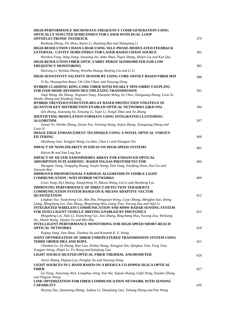| HIGH-PERFORMANCE MICROWAVE FREQUENCY COMB GENERATION USING                                                                                                                                                                   |     |
|------------------------------------------------------------------------------------------------------------------------------------------------------------------------------------------------------------------------------|-----|
| OPTICALLY INJECTED SEMICONDUCTOR LASER WITH DUAL-LOOP<br><b>OPTOELECTRONIC FEEDBACK</b>                                                                                                                                      | 379 |
| Renheng Zhang, Pei Zhou, Kunxi Li, Hualong Bao and Nianqiang Li                                                                                                                                                              |     |
| HIGH-RESOLUTION CHAOS LIDAR USING SELF-PHASE-MODULATED FEEDBACK<br><b>EXTERNAL- CAVITY SEMICONDUCTOR LASER-BASED CHAOS SOURCE</b>                                                                                            | 382 |
| Weizhou Feng, Ning Jiang, Jiaoyang Jin, Anke Zhao, Yiqun Zhang, Shiqin Liu and Kun Qiu                                                                                                                                       |     |
| HIGH-RESOLUTION FIBER OPTIC FABRY-PEROT SEISMOMETER FOR LOW<br><b>FREQUENCY MONITORING</b>                                                                                                                                   | 385 |
| Huicong Li, Wentao Zhang, Wenzhu Huang, Ruifeng Liu and Li Li                                                                                                                                                                |     |
| HIGH-SENSITIVITY SALINITY SENSOR BY USING CORE-OFFSET BASED FIBER MZI                                                                                                                                                        | 388 |
| Yi Xu, Shuangchen Ruan, Chi Chiu Chan, and Xinyong Dong<br>HYBRID CLADDING RING-CORE FIBER WITH WEAKLY SPIN-ORBIT COUPLING<br><b>FOR OAM MODE DIVISION MULTIPLEXING TRANSMISSION</b>                                         | 391 |
| Jiaqi Wang, Hu Zhang, Jingxuan Yang, Xiaoqian Wang, Ze Chen, Xiaoguang Zhang, Lixia Xi,<br>Wenbo Zhang and Xianfeng Tang<br>HYBRID-TRUSTED/UNTRUSTED-RELAY BASED PROTECTION STRATEGY IN                                      |     |
| QUANTUM KEY DISTRIBUTION ENABLED OPTICAL NETWORKS (QKD-ON)                                                                                                                                                                   | 394 |
| Qin Zhang, Xiaosong Yu, Xinyang Li, Yajie Li, Yongli Zhao and Jie Zhang                                                                                                                                                      |     |
| <b>IDENTIFYING MODULATION FORMATS USING INTEGRATED CLUSTERING</b><br><b>ALGORITHM</b>                                                                                                                                        | 397 |
| Jinmei Ye, Wenbo Zhang, Zixian Yue, Yuxiang Wang, Xulun Zhang, Xiaoguang Zhang and<br>Lixia Xi                                                                                                                               |     |
| <b>IMAGE EDGE ENHANCEMENT TECHNIQUE USING A NOVEL OPTICAL VORTEX</b><br><b>FILTERING</b>                                                                                                                                     | 400 |
| Zhenhong Gao, Yongjun Wang, Lu Han, Chao Li and Xiangjun Xin                                                                                                                                                                 |     |
| <b>IMPACT OF NONLINEARITY IN EDFAS ON HIGH-SPEED SYSTEMS</b>                                                                                                                                                                 | 403 |
| Haixin Bi and Yan Ling Xue                                                                                                                                                                                                   |     |
| <b>IMPACT OF SILVER NANOSPHERES ARRAY FOR ENHANCED OPTICAL</b>                                                                                                                                                               |     |
| <b>ABSORPTION IN PLASMONIC- BASED INGAAS PHOTODETECTOR</b><br>Shengtao Jiang, Yongqing Huang, Xuejie Wang, Dan Yang, Xiaofeng Duan, Kai Liu and                                                                              | 406 |
| Xiaomin Ren                                                                                                                                                                                                                  |     |
| <b>IMPROVED PROPORTIONAL FAIRNESS ALGORITHM IN VISIBLE LIGHT</b><br><b>COMMUNICATION / WIFI HYBRID NETWORKS</b>                                                                                                              | 409 |
| Liwei Yang, Ziyi Huang, Xiangcheng Yi, Haoxu Wang, Lin Li and Shusheng Lyu                                                                                                                                                   |     |
| <b>IMPROVING PERFORMANCE OF DIRECT-DETECTION TERAHERTZ</b><br><b>COMMUNICATION SYSTEM BASED ON K-MEANS ADAPTIVE VECTOR</b><br><b>OUANTIZATION</b>                                                                            | 412 |
| Linghao Yue, Yuancheng Cai, Min Zhu, Pengyuan Wang, Liyao Zhang, Mengfan Sun, Sheng                                                                                                                                          |     |
| Liang, Mingzheng Lei, Jiao Zhang, Bingchang Hua, Liang Tian, Yucong Zou and Aijie Li<br><b>INTEGRATED WIRELESS COMMUNICATION AND MMW RADAR SENSING SYSTEM</b><br><b>FOR INTELLIGENT VEHICLE DRIVING ENABLED BY PHOTONICS</b> | 415 |
| Mingzheng Lei, Aijie Li, Yuancheng Cai, Jiao Zhang, Bingchang Hua, Yucong Zou, Weiliang                                                                                                                                      |     |
| Xu, Jikuan Wang, Jianjun Yu and Min Zhu                                                                                                                                                                                      |     |
| <b>INTELLIGENT PERFORMANCE MONITORING FOR HIGH-SPEED SHORT-REACH</b><br><b>OPTICAL NETWORKS</b>                                                                                                                              | 418 |
| Yuqing Yang, Jian Zhao, Tianhua Xu and Kenneth K. Y. Wong                                                                                                                                                                    |     |
| JOINT OPTIMIZATION OF 260KM UNREPEATERED TRANSMISSION SYSTEM USING<br>THIRD ORDER DRA AND ROPA                                                                                                                               | 421 |
| Chenhao Lu, Qi Zhang, Ran Gao, Xishuo Wang, Xiangjun Xin, Qinghua Tian, Feng Tian,<br>Yongjun Wang, Zhipei Li, Fu Wang and Kaiqiang Gao<br>LIGHT SOURCE HEATED OPTICAL FIBER THERMAL ANEMOMETER                              |     |
|                                                                                                                                                                                                                              | 424 |
| Jiarui Zhang, Dajuan Lyu, Pengbai Xu and Xinyong Dong<br>LIGHT SOURCES IN L-BAND BASED ON A BI/ER/LA CO-DOPED SILICA OPTICAL                                                                                                 |     |
| <b>FIBER</b><br>Lei Yang, Jianxiang Wen, Longzhao Zeng, Yan Wu, Sujuan Huang, Fufei Pang, Xiaobei Zhang                                                                                                                      | 427 |
| and Tingyun Wang<br>LINK OPTIMIZATION FOR FIBER COMMUNICATION NETWORK WITH SENSING                                                                                                                                           |     |
| <b>CAPABILITY</b><br>Shiying Yao, Quanming Zhang, Junhua Li, Dongliang Gao, Yuhong Zhang and Pan Wang                                                                                                                        | 430 |
|                                                                                                                                                                                                                              |     |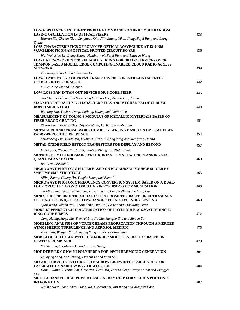| <b>LONG-DISTANCE FAST LIGHT PROPAGATION BASED ON BRILLOUIN RANDOM</b><br><b>LASING OSCILLATION IN OPTICAL FIBERS</b>                                                                        | 433 |
|---------------------------------------------------------------------------------------------------------------------------------------------------------------------------------------------|-----|
| Haoran Xie, Zhelan Xiao, Zenghuan Qiu, Jilin Zhang, Yikun Jiang, Fufei Pang and Liang                                                                                                       |     |
| Zhang<br>LOSS CHARACTERISTICS OF POLYMER OPTICAL WAVEGUIDE AT 1310 NM<br>WAVELENGTH ON AN OPTICAL PRINTED CIRCUIT BOARD                                                                     | 436 |
| Wei Wei, Xiao Lu, Liang Zhang, Heming Wei, Fufei Pang and Tingyun Wang                                                                                                                      |     |
| LOW LATENCY-ORIENTED RELIABLE SLICING FOR URLLC SERVICES OVER<br>TDM-PON BASED MOBILE EDGE COMPUTING ENABLED CLOUD RADIO ACCESS<br><b>NETWORK</b>                                           | 439 |
| Xin Wang, Zhan Xu and Shanbao He                                                                                                                                                            |     |
| <b>LOW-COMPLEXITY COHERENT TRANSCEIVERS FOR INTRA-DATACENTER</b><br><b>OPTICAL INTERCONNECTS</b>                                                                                            | 442 |
| Yu Gu, Xiao Xu and Jia Zhao                                                                                                                                                                 |     |
| <b>LOW-LOSS FAN-IN/FAN-OUT DEVICE FOR 8-CORE FIBER</b>                                                                                                                                      | 445 |
| Jun Chu, Lei Zhang, Lei Shen, Ying Li, Zhao Yao, Xiaobo Lan, Jie Luo<br>MAGNETO-REFRACTIVE CHARACTERISTICS AND MECHANISM OF ERBIUM-<br><b>DOPED SILICA FIBER</b>                            | 448 |
| Wanting Sun, Yanhua Dong, Caihong Huang and Qiufan Wu                                                                                                                                       |     |
| MEASUREMENT OF YOUNG'S MODULUS OF METALLIC MATERIALS BASED ON<br><b>FIBER BRAGG GRATING</b>                                                                                                 | 451 |
| Xinxin Chen, Boning Zhou, Siyang Wang, Xu Jiang and Shuli Sun<br>METAL-ORGANIC FRAMEWORK HUMIDITY SENSING BASED ON OPTICAL FIBER<br><b>FABRY-PEROT INTERFERENCE</b>                         | 454 |
| Shuaicheng Liu, Yixiao Ma, Guanjun Wang, Weiting Yang and Mengxing Huang                                                                                                                    |     |
| <b>METAL-OXIDE FIELD-EFFECT TRANSISTORS FOR DISPLAY AND BEYOND</b>                                                                                                                          | 457 |
| Linkang Li, Wenhui Fu, Jun Li, Jianhua Zhang and Zhilin Zhang<br>METHOD OF MULTI-DOMAIN SYNCHRONIZATION NETWORK PLANNING VIA<br><b>QUANTUM ANNEALING</b>                                    | 460 |
| Bo Ly and Zishan Liu                                                                                                                                                                        |     |
| MICROWAVE PHOTONIC FILTER BASED ON BROADBAND SOURCE SLICED BY<br><b>SMF-FMF-SMF STRUCTURE</b>                                                                                               | 463 |
| Ailing Zhang, Guang Hu, Yongfu Zhang and Shuo Li                                                                                                                                            |     |
| MICROWAVE PHOTONIC FREQUENCY CONVERSION SYSTEM BASED ON A DUAL-<br><b>LOOP OPTOELECTRONIC OSCILLATOR FOR B5G/6G COMMUNICATION</b>                                                           | 466 |
| Jiu Min, Zhen Zeng, Yuchong Su, Zhiyao Zhang, Lingjie Zhang and Yong Liu                                                                                                                    |     |
| MINIATURE FIBER-OPTIC MODAL INTERFEROMETER BASED ON ULTRASONIC-<br>CUTTING TECHNIQUE FOR LOW-RANGE REFRACTIVE INDEX SENSING                                                                 | 469 |
| Qian Wang, Jixuan Wu, Binbin Song, Hua Bai, Bo Liu and Shaoxiang Duan<br>MODE-DEPENDENT CHARACTERIZATION OF RAYLEIGH BACKSCATTERING IN                                                      |     |
| <b>RING-CORE FIBERS</b>                                                                                                                                                                     | 472 |
| Cong Huang, Junyi Liu, Zhenrui Lin, Jie Liu, Jiangbo Zhu and Siyuan Yu                                                                                                                      |     |
| <b>MODELING ANALYSIS OF VORTEX BEAMS PROPAGATION THROUGH A MERGED</b><br>ATMOSPHERIC TURBULENCE AND AEROSOL MEDIUM                                                                          | 475 |
| Ziwen Wu, Wenjun Ni, Chunyong Yang and Perry Ping Shum<br>MODE-LOCKED LASER WITH HIGH-ORDER MODE GENERATION BASED ON<br><b>GRATING COMBINER</b>                                             | 478 |
| Yaqiong Lu, Shaokang Bai and Zuxing Zhang                                                                                                                                                   |     |
| MOF-DERIVED CO3O4-NI POLYHEDRA FOR 109TH HARMONIC GENERATION                                                                                                                                | 481 |
| Zhuoying Song, Yani Zhang, Xiaohui Li and Yuan Shi                                                                                                                                          |     |
| MONOLITHICALLY INTEGRATED NARROW LINEWIDTH SEMICONDUCTOR<br><b>LASER WITH A NARROW BAND REFLECTOR</b><br>Hongji Wang, Yuechun Shi, Yitao Wu, Yuxin Ma, Ziming Hong, Haoyuan Wu and Xiangfei | 484 |
| <b>Chen</b><br><b>MULTI-CHANNEL HIGH POWER LASER ARRAY CHIP FOR SILICON PHOTONIC</b><br><b>INTEGRATION</b>                                                                                  | 487 |
| Ziming Hong, Yong Zhao, Yuxin Ma, Yuechun Shi, Xin Wang and Xiangfei Chen                                                                                                                   |     |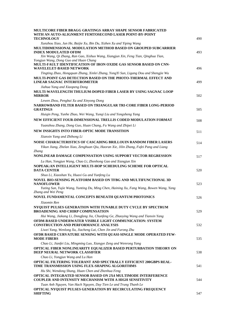| <b>MULTICORE FIBER BRAGG GRATINGS ARRAY SHAPE SENSOR FABRICATED</b><br>WITH AN AUTO-ALIGNMENT FEMTOSECOND LASER POINT-BY-POINT<br><b>TECHNOLOGY</b>                                                                        | 490 |
|----------------------------------------------------------------------------------------------------------------------------------------------------------------------------------------------------------------------------|-----|
| Xunzhou Xiao, Jun He, Baijie Xu, Bin Du, Xizhen Xu and Yiping Wang                                                                                                                                                         |     |
| MULTIDIMENSIONAL MODULATION METHOD BASED ON GROUPED SUBCARRIER<br><b>INDEX MODULATED OFDM</b><br>Xin Wang, Qi Zhang, Ran Gao, Xishuo Wang, Xiangjun Xin, Feng Tian, Qinghua Tian,<br>Yongjun Wang, Dong Guo and Huan Chang | 493 |
| MULTI-FAULT IDENTIFICATION OF IRON OXIDE GAS SENSOR BASED ON CNN-<br><b>WAVELELET-BASED NETWORK</b><br>Tingting Zhao, Hongquan Zhang, Xinlei Zhang, YongYi Sun, Ligang Dou and Shengjie Wu                                 | 496 |
| MULTI-POINT GAS DETECTION BASED ON THE PHOTO-THERMAL EFFECT AND<br>LINEAR SAGNAC INTERFEROMETER                                                                                                                            | 499 |
| Jiahua Yang and Xiaopeng Dong<br>MULTI-WAVELENGTH THULIUM-DOPED FIBER LASER BY USING SAGNAC LOOP<br><b>MIRROR</b>                                                                                                          | 502 |
| Lewen Zhou, Pengbai Xu and Xinyong Dong                                                                                                                                                                                    |     |
| NARROWBAND FILTER BASED ON TRIANGULAR TRI-CORE FIBER LONG-PERIOD<br><b>GRATINGS</b>                                                                                                                                        | 505 |
| Huiqin Peng, Yunhe Zhao, Wei Wang, Yunqi Liu and Yongsheng Yang                                                                                                                                                            |     |
| NEW EFFICIENT FOUR-DIMENSIONAL TRELLIS CODED MODULATION FORMAT                                                                                                                                                             | 508 |
| Yuanzhou Zhang, Dong Guo, Huan Chang, Fu Wang and Zhipei Li                                                                                                                                                                |     |
| NEW INSIGHTS INTO FIBER-OPTIC MODE TRANSITION                                                                                                                                                                              | 511 |
| Xianxin Yang and Zhihong Li                                                                                                                                                                                                |     |
| NOISE CHARACTERISTICS OF CASCADING BRILLOUIN RANDOM FIBER LASERS                                                                                                                                                           | 514 |
| Yikun Jiang, Zhelan Xiao, Zenghuan Qiu, Haoran Xie, Jilin Zhang, Fufei Pang and Liang<br>Zhang                                                                                                                             |     |
| NONLINEAR DAMAGE COMPENSATION USING SUPPORT VECTOR REGRESSION                                                                                                                                                              | 517 |
| Lu Han, Yongjun Wang, Chao Li, Zhenhong Gao and Xiangjun Xin                                                                                                                                                               |     |
| NOPEAK: AN INTELLIGENT MULTI-HOP SCHEDULING SCHEME FOR OPTICAL<br><b>DATA CENTER</b>                                                                                                                                       | 520 |
| Shuo Li, Xiaoshan Yu, Huaxi Gu and Yunfeng Lu<br>NOVEL BIO-SENSING PLATFORM BASED ON TFBG AND MULTIFUNCTIONAL 3D<br><b>NANOFLOWER</b>                                                                                      | 523 |
| Yuting Sun, Yujie Wang, Yunting Du, Ming Chen, Haining Xu, Fang Wang, Bowen Wang, Yang<br>Zhang and Wei Peng<br>NOVEL FUNDAMENTAL CONCEPTS BENEATH QUANTUM PHOTONICS                                                       | 526 |
| Xiaomin Ren                                                                                                                                                                                                                |     |
| NYQUIST PULSES GENERATION WITH TUNABLE DUTY CYCLE BY SPECTRUM<br><b>BROADENING AND CHIRP COMPENSATION</b>                                                                                                                  | 529 |
| Hui Wang, Jiakang Li, Dongfang Jia, Chunfeng Ge, Zhaoying Wang and Tianxin Yang<br>OFDM-BASED UNDERWATER VISIBLE LIGHT COMMUNICATION: SYSTEM<br><b>CONSTRUCTION AND PERFORMANCE ANALYSIS</b>                               | 532 |
| Liwei Yang, Wenlong Xu, Jiacheng Lai, Chen Jin and Furong Zhu<br>OFDR BASED CURVATURE SENSING WITH QUASI-SINGLE MODE OPERATED FEW-<br><b>MODE FIBERS</b>                                                                   | 535 |
| Chao Li, Jianfei Liu, Mingming Luo, Xiangye Zeng and Wenrong Yang<br>OPTICAL FIBER NONLINEARITY EQUALIZER BASED PERTURBATION THEORY ON<br>DEEP NEURAL NETWORK CLASSIFIER                                                   | 538 |
| Chao Li, Yongjun Wang and Lu Han                                                                                                                                                                                           |     |
| OPTICAL FILTERING TOLERANT AND SPECTRALLY EFFICIENT 200GBPS REAL-<br>TIME TRANSMISSION USING FLEX-SHAPING ALGORITHMS                                                                                                       | 541 |
| Hu Shi, Wendong Shang, Huan Chen and Zhenhua Feng                                                                                                                                                                          |     |
| OPTICAL INTEGRATED SENSOR BASED ON 2X4 MULTIMODE INTERFERENCE<br>COUPLER AND INTENSITY MECHANISM WITH A HIGH SENSITIVITY                                                                                                   | 544 |
| Tuan Anh Nguyen, Van Hach Nguyen, Duy Tien Le and Trung Thanh Le<br>OPTICAL NYQUIST PULSES GENERATION BY RECIRCULATING FREQUENCY<br><b>SHIFTING</b>                                                                        | 547 |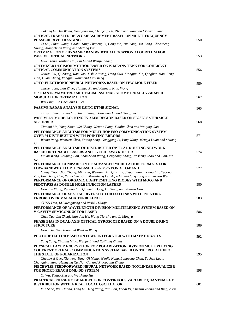| Jiakang Li, Hui Wang, Dongfang Jia, Chunfeng Ge, Zhaoying Wang and Tianxin Yang                                                               |     |
|-----------------------------------------------------------------------------------------------------------------------------------------------|-----|
| OPTICAL TRANSFER DELAY MEASUREMENT BASED ON MULTI-FREQUENCY                                                                                   |     |
| <b>PHASE-DERIVED RANGING</b><br>Xi Liu, Lihan Wang, Xiaohu Tang, Shupeng Li, Cong Ma, Yue Yang, Xin Jiang, Chaosheng                          | 550 |
| Huang, Xiangchuan Wang and Shilong Pan                                                                                                        |     |
| OPTIMIZATION OF DYNAMIC BANDWIDTH ALLOCATION ALGORITHM FOR                                                                                    |     |
| PASSIVE OPTICAL NETWORK                                                                                                                       | 553 |
| Liwei Yang, Yanling Cai, Lin Li and Wenjie Zhang<br><b>OPTIMIZED DECISION METHOD BASED ON K-MEANS-TKNN FOR COHERENT</b>                       |     |
| <b>OPTICAL COMMUNICATION SYSTEMS</b>                                                                                                          | 556 |
| Zixuan Liu, Qi Zhang, Ran Gao, Xishuo Wang, Dong Guo, Xiangjun Xin, Qinghua Tian, Feng                                                        |     |
| Tian, Huan Chang, Yongjun Wang and Xia Sheng                                                                                                  |     |
| OPTO-ELECTRONIC NEURAL NETWORKS BASED ON FEW-MODE FIBER                                                                                       | 559 |
| Jinsheng Xu, Jian Zhao, Tianhua Xu and Kenneth K. Y. Wong                                                                                     |     |
| ORTHANT-SYMMETRIC MULTI-DIMENSIONAL GEOMETRICALLY-SHAPED<br><b>MODULATION OPTIMIZATION</b>                                                    | 562 |
| Wei Ling, Bin Chen and Yi Lei                                                                                                                 |     |
| PASSIVE RADAR ANALYSIS USING DTMB SIGNAL                                                                                                      | 565 |
| Tianyun Wang, Bing Liu, Xuelin Wang, Xianchun Xu and Qiang Wei                                                                                |     |
| <b>PASSIVELY MODE-LOCKING IN 2 MM REGION BASED ON SB2SE3 SATURABLE</b>                                                                        |     |
| <b>ABSORBER</b>                                                                                                                               | 568 |
| Xiaohui Ma, Yong Zhou, Wei Zhang, Wentan Fang, Xiaolin Chen and Weiqing Gao                                                                   |     |
| PERFORMANCE ANALYSIS FOR MULTI-HOP FSO COMMUNICATION SYSTEM<br><b>OVER M DISTRIBUTION WITH POINTING ERRORS</b>                                |     |
| Weina Pang, Wenwen Chen, Yatong Song, Ganggang Li, Ping Wang, Mengyi Duan and Shuang                                                          | 571 |
| Li                                                                                                                                            |     |
| PERFORMANCE ANALYSIS OF DISTRIBUTED OPTICAL ROUTING NETWORK                                                                                   |     |
| <b>BASED ON TUNABLE LASERS AND CYCLIC AWG ROUTER</b><br>Yinxin Wang, Zhuping Fan, Shan-Shan Wang, Dengdong Zhang, Jiasheng Zhao and Jian-Jun  | 574 |
| He                                                                                                                                            |     |
| PERFORMANCE COMPARISON OF ADVANCED MODULATION FORMATS FOR                                                                                     |     |
| LOW-BANDWIDTH OPTICS-BASED 50-GB/S/A PON AT O-BAND<br>Qingyi Zhou, Jiao Zhang, Min Zhu, Weiliang Xu, Qinru Li, Jikuan Wang, Xiang Liu, Yucong | 577 |
| Zou, Bingchang Hua, Yuancheng Cai, Mingzheng Lei, Aijie Li, Weidong Tong and Yingxin Wei                                                      |     |
| PERFORMANCE OF ORGANIC LIGHT EMITTING DIODES WITH MOO3 AND                                                                                    |     |
| PEDOT:PSS AS DOUBLE HOLE INJECTION LAYERS                                                                                                     | 580 |
| Hongjun Wang, Zugang Liu, Qianmin Dong, Di Zhang and Ranran Han<br>PERFORMANCE OF SPATIAL DIVERSITY FOR FSO LINKS WITH POINTING               |     |
| <b>ERRORS OVER MALAGA TURBULENCE</b>                                                                                                          | 583 |
| CHEN Dan, LU Mengmeng and WANG Huiqin                                                                                                         |     |
| PERFORMANCE OF WAVELENGTH DIVISION MULTIPLEXING SYSTEM BASED ON                                                                               |     |
| V-CAVITY SEMICONDUCTOR LASER                                                                                                                  | 586 |
| Chen Tuo, Liu Zheqi, Jian-Jun He, Wang Tianshu and Li Mingyu                                                                                  |     |
| PHASE BIAS IN DUAL-AXIS OPTICAL GYROSCOPE BASED ON A DOUBLE-RING<br><b>STRUCTURE</b>                                                          | 589 |
| Hong Gu, Dan Yang and WenBin Wang                                                                                                             |     |
| PHOTODETECTOR BASED ON FIBER INTEGRATED WITH MXENE NB2CTX                                                                                     | 592 |
| Yang Yang, Yinping Miao, Wenjie Li and Kailiang Zhang                                                                                         |     |
| PHYSICAL LAYER ENCRYPTION FOR POLARIZATION DIVISION MULTIPLEXING                                                                              |     |
| <b>COHERENT OPTICAL COMMUNICATION SYSTEM BASED ON THE ROTATION OF</b>                                                                         |     |
| THE STATE OF POLARIZATION                                                                                                                     | 595 |
| Chuanwei Gao, Xianfeng Tang, Qi Meng, Wenjie Kong, Longyong Chen, Yuchen Luan,<br>Changqing Yang, Hengying Xu, Nan Cui and Xiaoguang Zhang    |     |
| PIECEWISE FEEDFORWARD NEURAL NETWORK BASED NONLINEAR EQUALIZER                                                                                |     |
| <b>FOR SHORT-REACH DML-DD SYSTEM</b>                                                                                                          | 598 |
| Qi Wu, Yixiao Zhu and Weisheng Hu                                                                                                             |     |
| PRACTICAL PHASE NOISE MODEL FOR CONTINUOUS VARIABLE QUANTUM KEY<br>DISTRIBUTION WITH A REAL LOCAL OSCILLATOR                                  | 601 |
| Yun Shao, Wei Huang, Yang Li, Heng Wang, Yan Pan, Yaodi Pi, Chenlin Zhang and Bingjie Xu                                                      |     |
|                                                                                                                                               |     |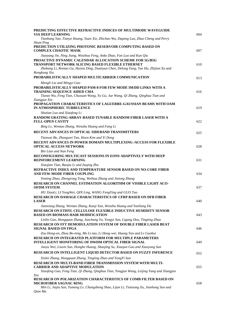| PREDICTING EFFECTIVE REFRACTIVE INDICES OF MULTIMODE WAVEGUIDE<br>VIA DEEP LEARNING                                   | 604 |
|-----------------------------------------------------------------------------------------------------------------------|-----|
| Tianhang Yao, Tianye Huang, Yuan Xie, Zhichao Wu, Dapeng Luo, Zhuo Cheng and Perry                                    |     |
| Shum Ping<br>PREDICTION UTILIZING PHOTONIC RESERVOIR COMPUTING BASED ON                                               |     |
| <b>COMPLEX CHAOTIC MASK</b>                                                                                           | 607 |
| Jiaoyang Jin, Ning Jiang, Weizhou Feng, Anke Zhao, Fan Luo and Kun Qiu                                                |     |
| <b>PROACTIVE DYNAMIC CALENDAR ALLOCATION SCHEME FOR 5G/B5G</b>                                                        |     |
| TRANSPORT NETWORK SLICING BASED FLEXIBLE ETHERNET                                                                     | 610 |
| Zhekang Li, Rentao Gu, Huixia Ding, Duanyun Chen, Delong Yang, Yue Hu, Zhijian Xu and<br>Rongkang Xiu                 |     |
| PROBABILISTICALLY SHAPED MULTICARRIER COMMUNICATION                                                                   | 613 |
| Mengli Liu and Mingyi Gao                                                                                             |     |
| <b>PROBABILISTICALLY SHAPED PAM-8 FOR FEW MODE IM/DD LINKS WITH A</b>                                                 |     |
| <b>TRAINING SEQUENCE AIDED CMA</b><br>Tianze Wu, Feng Tian, Chuxuan Wang, Yu Gu, Jue Wang, Qi Zhang, Qinghua Tian and | 616 |
| Xiangjun Xin                                                                                                          |     |
| PROPAGATION CHARACTERISTICS OF LAGUERRE-GAUSSIAN BEAMS WITH OAM<br>IN ATMOSPHERIC TURBULENCE                          | 619 |
| Shutian Luo and Xiaofeng Li                                                                                           |     |
| RANDOM GRATING-ARRAY-BASED TUNABLE RANDOM FIBER LASER WITH A<br><b>FULL-OPEN CAVITY</b>                               | 622 |
| Bing Ly, Wentao Zhang, Wenzhu Huang and Fang Li                                                                       |     |
| RECENT ADVANCES IN OPTICAL SIDEBAND TRANSMITTERS                                                                      | 625 |
| Tianwai Bo, Zhongwei Tan, Hoon Kim and Yi Dong                                                                        |     |
| RECENT ADVANCES IN POWER DOMAIN MULTIPLEXING /ACCESS FOR FLEXIBLE<br><b>OPTICAL ACCESS NETWORK</b>                    | 628 |
| Bin Lian and Nan Feng                                                                                                 |     |
| RECONFIGURING MULTICAST SESSIONS IN EONS ADAPTIVELY WITH DEEP<br>REINFORCEMENT LEARNING                               | 631 |
| Xiaojian Tian, Baojia Li and Zuging Zhu                                                                               |     |
| REFRACTIVE INDEX AND TEMPERATURE SENSOR BASED ON NO-CORE FIBER<br>AND FEW-MODE FIBER COUPLING                         | 634 |
| Yeming Zhao, Zhengrong Tong, Weihua Zhang and Jietong Zhang                                                           |     |
| RESEARCH ON CHANNEL ESTIMATION ALGORITHM OF VISIBLE LIGHT ACO-<br><b>OFDM SYSTEM</b>                                  | 637 |
| HU XiaoLi, LI YongWei, QIN Ling, WANG FengYing and GUO Tao                                                            |     |
| <b>RESEARCH ON DAMAGE CHARACTERISTICS OF CFRP BASED ON DFB FIBER</b><br><b>LASER</b>                                  | 640 |
| Jianxiang Zhang, Wentao Zhang, Kaiqi Yan, Wenzhu Huang and Yanliang Du                                                |     |
| RESEARCH ON ETHYL CELLULOSE FLEXIBLE INDUCTIVE HUMIDITY SENSOR                                                        |     |
| <b>BASED ON BIOMASS HAIR MODIFICATION</b>                                                                             | 643 |
| Linlin Guo, Hongquan Zhang, Junchang Yu, Yongyi Sun, Ligang Dou, Tingting Zhao                                        |     |
| RESEARCH ON FFT DEMODULATION SYSTEM OF DOUBLE FIBER LASER BEAT<br><b>SIGNAL BASED ON FPGA</b>                         | 646 |
| Zou Hong-en, Zhou Bo-ning, Mo Li-tao, Li Hong-wei, Huang Yan and Lv Guohui                                            |     |
| RESEARCH ON INTEGRATED PLATFORM FOR MULTIPLE PARAMETERS                                                               |     |
| <b>INTELLIGENT MONITORING OF DWDM OPTICAL FIBER SIGNAL</b>                                                            | 649 |
| Junyu Wei, Liuxin Sun, Honghe Huang, Shaojing Su, Xiaojun Guo and Xiaoyong Sun                                        |     |
| RESEARCH ON INTELLIGENT LIQUID DETECTOR BASED ON FUZZY INFERENCE                                                      | 652 |
| Xinlei Zhang, Hongquan Zhang, Tingting Zhao and YongYi Sun                                                            |     |
| RESEARCH ON MULTI-BAND FIBER TRANSMISSION SYSTEM WITH MULTI-<br><b>CARRIER AND ADAPTIVE MODULATION</b>                | 655 |
| Xiaofeng Gao, Feng Tian, Qi Zhang, Qinghua Tian, Yongjun Wang, Leijing Yang and Xiangjun                              |     |
| Xin                                                                                                                   |     |
| RESEARCH ON POLARIZATION CHARACTERISTICS OF COMB FILTER BASED ON<br>MICROFIBER SAGNAC RING                            | 658 |
| Min Li, Jiajia Sun, Yumeng Lv, Changsheng Shao, Lijun Li, Tianzong Xu, Jianhong Sun and                               |     |
| Qian Ma                                                                                                               |     |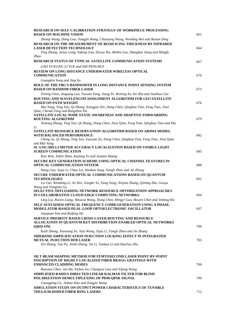| <b>RESEARCH ON SELF-CALIBRATION STRATEGY OF WORKPIECE PROCESSING</b><br><b>BASED ON MACHINE VISION</b>                                                                                      | 661 |
|---------------------------------------------------------------------------------------------------------------------------------------------------------------------------------------------|-----|
| Zhenqi Wang, Dong Guo, Yongjin Wang, Chunyong Wang, Wending Wei and Runan Ding                                                                                                              |     |
| RESEARCH ON THE MEASUREMENT OF ROAD ICING THICKNESS BY INFRARED<br><b>LASER DETECTION TECHNOLOGY</b><br>Ying Zhang, Junyu Long, Yufeng Guo, Decao Wu, Binbin Luo, Shanghai Jiang and Mingfu | 664 |
| Zhao<br>RESEARCH STATUS OF TYPICAL SATELLITE COMMUNICATION SYSTEMS                                                                                                                          | 667 |
| GAO YUXUAN, LI YUE and SHI PENGHUI                                                                                                                                                          |     |
| REVIEW ON LONG-DISTANCE UNDERWATER WIRELESS OPTICAL<br><b>COMMUNICATION</b>                                                                                                                 | 670 |
| Guangbin Song and Jing Xu                                                                                                                                                                   |     |
| ROLE OF THE FBG'S BANDWIDTH IN LONG DISTANCE POINT SENSING SYSTEM<br><b>BASED ON RANDOM FIBER LASER</b>                                                                                     | 673 |
| Yiming Chen, Jingtang Luo, Yuxuan Yang, Jiang Ni, Weiting Xu, Ke Zhu and Jianhua Cao                                                                                                        |     |
| ROUTING AND WAVELENGTH ASSIGNMENT ALGORITHM FOR LEO SATELLITE<br><b>BASED ON PATH WEIGHT</b>                                                                                                | 676 |
| Mai Yang, Ying Tao, Qi Zhang, Xiangjun Xin, Dong Chen, Qinghua Tian, Feng Tian, Jinxi<br>Qian, Chendi Feng and Rongzhen Xie                                                                 |     |
| SATELLITE LOCAL NODE STATE AWARENESS AND ADAPTIVE FORWARDING                                                                                                                                |     |
| <b>ROUTING ALGORITHM</b><br>Xintong Zhang, Ying Tao, Qi Zhang, Dong Chen, Jinxi Qian, Feng Tian, Qinghua Tian and Hui<br>Li                                                                 | 679 |
| SATELLITE RESOURCE RESERVATION ALGORITHM BASED ON ARIMA MODEL<br>WITH BALANCED PERFORMANCE                                                                                                  | 682 |
| Cheng Ju, Qi Zhang, Ying Tao, Yunxiao Zu, Dong Chen, Qinghua Tian, Feng Tian, Jinxi Qian<br>and Mai Yang                                                                                    |     |
| SC-LOC:MILLI-METER ACCURACY LOCALIZATION BASED ON VISIBLE LIGHT<br><b>SCREEN COMMUNICATION</b>                                                                                              | 685 |
| Kao Wen, Yubin Zhao, Kejiang Ye and Junjian Huang                                                                                                                                           |     |
| SECURE KEY GENERATION SCHEME USING OPTICAL CHANNEL FEATURES IN<br><b>OPTICAL COMMUNICATION SYSTEM</b>                                                                                       | 688 |
| Hang Gao, Yajie Li, Chao Lei, Haokun Song, Yongli Zhao and Jie Zhang                                                                                                                        |     |
| SECURE UNDERWATER OPTICAL COMMUNICATIONS BASED ON QUANTUM<br><b>TECHNOLOGIES</b>                                                                                                            | 691 |
| Lei Gai, Wendong Li, Yu Wei, Yonghe Yu, Yang Yang, Xinjian Zhang, Qiming Zhu, Guoyu<br>Wang and Yongjian Gu<br>SELECTIVE OFFLOADING NETWORK RESOURCE OPTIMIZATION APPROACHES                |     |
| IN COLLABORATIVE CLOUD-EDGE COMPUTING NETWORKS                                                                                                                                              | 694 |
| Ling Liu, Ruixin Liang, Shoucui Wang, Hong Chen, Mingyi Gao, Bowen Chen and Jinbing Wu                                                                                                      |     |
| SELF-SUSTAINED OPTICAL FREQUENCY COMB GENERATION USING A PHASE-<br>MODULATOR-BASED DUAL-LOOP OPTOELECTRONIC OSCILLATOR                                                                      | 697 |
| Juanjuan Yan and Ruifeng He                                                                                                                                                                 |     |
| SERVICE PRIORITY BASED CROSS-LAYER ROUTING AND RESOURCE<br>ALLOCATION IN QUANTUM KEY DISTRIBUTION ENABLED OPTICAL NETWORKS<br>$(QKD-ON)$                                                    | 700 |
| Kaili Zhang, Xiaosong Yu, Yazi Wang, Yajie Li, Yongli Zhao and Jie Zhang                                                                                                                    |     |
| SIDEBAND AMPILIFICATION INJECTION LOCKING EFFECT IN INTEGRATED                                                                                                                              |     |
| <b>MUTUAL INJECTION DFB LASER</b><br>Xin Zhang, Tao Pu, Jinlin Zheng, Jin Li, Yunkun Li and HuaTao Zhu                                                                                      | 703 |
|                                                                                                                                                                                             |     |
| <b>SILT-BEAM SHAPING METHOD FOR FEMTOSECOND LASER POINT-BY-POINT</b><br><b>INSCRIPTION OF HIGHLY LOCALIZED FIBER BRAGG GRATINGS WITH</b>                                                    |     |
| <b>ENHANCED CLADDING MODES</b>                                                                                                                                                              | 706 |
| Runxiao Chen, Jun He, Xizhen Xu, Changrui Liao and Yiping Wang<br>SIMPLIFIED RADIUS-DIRECTED LINEAR KALMAN FILTER FOR BLIND<br>POLARIZATION DEMULTIPLEXING OF PDM-QPSK SIGNAL               | 709 |
| Guangping Ge, Jiahao Huo and Zongjie Wang                                                                                                                                                   |     |
| SIMULATION STUDY ON OUTPUT POWER CHARACTERISTICS OF TUNABLE<br>THULIUM-DOPED FIBER RING LASERS                                                                                              | 712 |
|                                                                                                                                                                                             |     |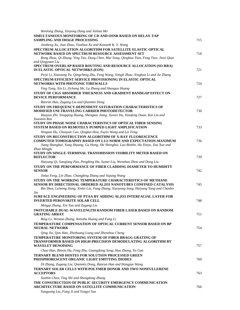| Wenlong Zheng, Xinyong Dong and Jinlian Mo                                                                                                                                                                                                                                                                                                                        |     |
|-------------------------------------------------------------------------------------------------------------------------------------------------------------------------------------------------------------------------------------------------------------------------------------------------------------------------------------------------------------------|-----|
| SIMULTANEOUS MONITORING OF CD AND OSNR BASED ON DELAY-TAP<br><b>SAMPLING AND IMAGE PROCESSING</b>                                                                                                                                                                                                                                                                 | 715 |
| Jinsheng Xu, Jian Zhao, Tianhua Xu and Kenneth K.Y. Wong                                                                                                                                                                                                                                                                                                          |     |
| SPECTRUM ALLOCATION ALGORITHM FOR SATELLITE ELASTIC OPTICAL<br>NETWORK BASED ON SPECTRUM RESOURCE ASSESSMENT SET<br>Rong Zhou, Qi Zhang, Ying Tao, Dong Chen, Mai Yang, Qinghua Tian, Feng Tian, Jinxi Qian<br>and Qingyuan Liu                                                                                                                                   | 718 |
| SPECTRUM OVERLAP BASED ROUTING AND RESOURCE ALLOCATION (SO-RRA)<br>IN ELASTIC OPTICAL NETWORKS (EON)                                                                                                                                                                                                                                                              | 721 |
| Peiyi Li, Xiaosong Yu, Qingcheng Zhu, Feng Wang, Yongli Zhao, Xinghua Li and Jie Zhang<br>SPECTRUM-EFFICIENT SERVICE PROVISIONING IN ELASTIC OPTICAL<br>NETWORKS WITH PHOTONIC FIREWALLS                                                                                                                                                                          | 724 |
| Ying Tang, Xin Li, Zicheng Shi, Lu Zhang and Shanguo Huang<br>STUDY OF CIGS ABSORBER THICKNESS AND GRADIENT BANDGAP EFFECT ON<br><b>DEVICE PERFORMANCE</b>                                                                                                                                                                                                        | 727 |
| Ranran Han, Zugang Liu and Qianmin Dong                                                                                                                                                                                                                                                                                                                           |     |
| STUDY ON FREQUENCY-DEPENDENT SATURATION CHARACTERISTICS OF<br>MODIFIED UNI-TRAVELING CARRIER PHOTODETECTOR<br>Huayun Zhi, Yongqing Huang, Shengtao Jiang, Jiawei Du, Xiaofeng Duan, Kai Liu and<br>Xiaomin Ren                                                                                                                                                    | 730 |
| STUDY ON PHASE NOISE CHARACTERISTICS OF OPTICAL FIBER SENSING<br>SYSTEM BASED ON REMOTELY PUMPED LIGHT AMPLIFICATION                                                                                                                                                                                                                                              | 733 |
| Ningtao Hu, Chunyan Cao, Qingkai Hou, Fuyin Wang and Lei Feng<br>STUDY ON RECONSTRUCTION ALGORITHM OF X-RAY FLUORESCENCE<br><b>COMPUTED TOMOGRAPHY BASED ON L1/2-NORM AND EXPECTATION-MAXIMUM</b>                                                                                                                                                                 | 736 |
| Jiang Shanghai, Yang Shuang, Gu Hong, Shi Shenghui, Luo Binbin, Hu Xinyu, Zou Xue and<br>Zhao Mingfu<br>STUDY ON SINGLE-TERMINAL TRANSMISSION VISIBILITY METER BASED ON<br><b>REFLECTOR</b>                                                                                                                                                                       | 739 |
| Haiyang Qi, Sunqiang Pan, Pengbing Hu, Sumei Liu, Wenzhao Zhou and Dong Liu                                                                                                                                                                                                                                                                                       |     |
| STUDY ON THE PERFORMANCE OF FIBER CLADDING DIAMETER TO HUMIDITY<br><b>SENSOR</b>                                                                                                                                                                                                                                                                                  | 742 |
| Jinlai Feng, Lin Zhao, Changfeng Zhang and Jiqiang Wang<br>STUDY ON THE WORKING TEMPERATURE CHARACTERISTICS OF METHANE<br>SENSOR BY DIRECTIONAL ORDERED AL2O3 NANOTUBES CONFINED CATALYSIS<br>Bin Shen, Leiming Jiang, Xinlei Liu, Fang Zhang, Xiaoyang Song, Haiyang Yang and Chunbo<br>Jin<br>SURFACE ENGINEERING OF PTAA BY ADDING AL203 INTERFACIAL LAYER FOR | 745 |
| <b>INVERTED PEROVSKITE SOLAR CELL</b>                                                                                                                                                                                                                                                                                                                             | 748 |
| Mingqi Zhang, Xin Yao and Zugang Liu<br><b>SWITCHABLE DUAL-WAVELENGTH RANDOM FIBER LASER BASED ON RANDOM</b><br><b>GRATING ARRAY</b>                                                                                                                                                                                                                              | 751 |
| Bing Lv, Wentao Zhang, Wenzhu Huang and Fang Li<br>TEMPERATURE COMPENSATION OF OPTICAL CURRENT SENSOR BASED ON BP<br>NEURAL NETWORK                                                                                                                                                                                                                               | 754 |
| Qing Jia, Qun Han, Zhizhuang Liang and Zhenzhou Cheng                                                                                                                                                                                                                                                                                                             |     |
| TEMPERATURE MONITORING SYSTEM OF FIBER BRAGG GRATING OF<br><b>TRANSFORMER BASED ON HIGH-PRECISION DEMODULATING ALGORITHM BY</b><br><b>WAVELET DENOISING</b>                                                                                                                                                                                                       | 757 |
| Chao Han, Binxin Hu, Feng Zhu, Guangdong Song, Hua Zhang, Yu Gao                                                                                                                                                                                                                                                                                                  |     |
| <b>TERNARY BLEND HOSTES FOR SOLUTION PROCESSED GREEN</b><br>PHOSPHORESCENT ORGANIC LIGHT EMITTING DIODES                                                                                                                                                                                                                                                          | 760 |
| Di Zhang, Zugang Liu, Qianmin Dong, Ranran Han and Hongjun Wang<br>TERNARY SOLAR CELLS WITH POLYMER DONOR AND TWO NONFULLERENE                                                                                                                                                                                                                                    |     |
| <b>ACCEPTORS</b>                                                                                                                                                                                                                                                                                                                                                  | 763 |
| Xuebin Chen, Ting Shi and Shengdong Zhang<br>THE CONSTRUCTION OF PUBLIC SECURITY EMERGENCY COMMUNICATION<br>ARCHITECTURE BASED ON SATELLITE COMMUNICATION                                                                                                                                                                                                         | 766 |
| Yangyang Liu, Fang Ji and Yongyi Sun                                                                                                                                                                                                                                                                                                                              |     |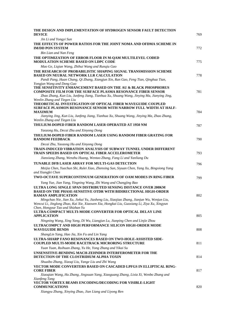| THE DESIGN AND IMPLEMENTATION OF HYDROGEN SENSOR FAULT DETECTION<br><b>DEVICE</b>                                                                                                                                                | 769 |
|----------------------------------------------------------------------------------------------------------------------------------------------------------------------------------------------------------------------------------|-----|
| Jin Li and Yongyi Sun                                                                                                                                                                                                            |     |
| THE EFFECTS OF POWER RATIOS FOR THE JOINT NOMA AND OFDMA SCHEME IN<br><b>IM/DD PON SYSTEM</b>                                                                                                                                    | 772 |
| <b>Bin Lian and Nan Feng</b>                                                                                                                                                                                                     |     |
| THE OPTIMIZATION OF ERROR FLOOR IN M-QAM MULTILEVEL CODED<br><b>MODULATION SCHEME BASED ON LDPC CODE</b>                                                                                                                         | 775 |
| Mao Ge, Liqian Wang, Zhihui Wang and Runqiu Gao                                                                                                                                                                                  |     |
| THE RESEARCH OF PROBABILISTIC SHAPING SIGNAL TRANSMISSION SCHEME<br><b>BASED ON NEURAL NETWORK LLR CALCULATION</b>                                                                                                               | 778 |
| Pandi Pang, Huan Chang, Qi Zhang, Xiangjun Xin, Ran Gao, Feng Tian, Qinghua Tian,<br>Yongjun Wang and Dong Guo                                                                                                                   |     |
| THE SENSITIVITY ENHANCEMENT BASED ON THE AU & BLACK PHOSPHORUS<br><b>COMPOSITE FILM FOR THE SURFACE PLASMA RESONANCE FIBER SENSOR</b><br>Zhao Zhang, Kun Liu, Junfeng Jiang, Tianhua Xu, Shuang Wang, Jinying Ma, Jianying Jing, | 781 |
| Wenlin Zhang and Tiegen Liu                                                                                                                                                                                                      |     |
| THEORETICAL INVESTIGATION OF OPTICAL FIBER WAVEGUIDE COUPLED<br>SURFACE PLASMON RESONANCE SENSOR WITH NARROW FULL WIDTH AT HALF-<br><b>MAXIMUM</b>                                                                               | 784 |
| Jianying Jing, Kun Liu, Junfeng Jiang, Tianhua Xu, Shuang Wang, Jinying Ma, Zhao Zhang,<br>Wenlin Zhang and Tiegen Liu                                                                                                           |     |
| THULIUM-DOPED FIBER RANDOM LASER OPERATED AT 1950 NM                                                                                                                                                                             | 787 |
| Yaozong Hu, Decai Zhu and Xinyong Dong<br>THULIUM-DOPED FIBER RANDOM LASER USING RANDOM FIBER GRATING FOR<br><b>RANDOM FEEDBACK</b>                                                                                              | 790 |
| Decai Zhu, Yaozong Hu and Xinyong Dong                                                                                                                                                                                           |     |
| TRAIN-INDUCED VIBRATION ANALYSIS OF SUBWAY TUNNEL UNDER DIFFERENT<br>TRAIN SPEEDS BASED ON OPTICAL FIBER ACCELEROMETER                                                                                                           | 793 |
| Jianxiang Zhang, Wenzhu Huang, Wentao Zhang, Fang Li and Yanliang Du                                                                                                                                                             |     |
| <b>TUNABLE DFB LASER ARRAY FOR MULTI-GAS DETECTION</b>                                                                                                                                                                           | 796 |
| Meijia Chen, Yuechun Shi, Rulei Xiao, Zhenxing Sun, Siyuan Chen, Yang Xu, Bingxiong Yang<br>and Xiangfei Chen                                                                                                                    |     |
| <b>TWO-OCTAVE SUPERCONTINUUM GENERATION OF OAM MODES IN RING FIBER</b>                                                                                                                                                           | 799 |
| Yang Yue, Jian Yang, Yingning Wang, Zhi Wang and Changjing Bao                                                                                                                                                                   |     |
| ULTRA LONG SINGLE SPAN DISTRIBUTED SENSING DISTANCE OVER 200KM<br><b>BASED ON THE PHASE-SENSITIVE OTDR WITH BIDIRECTIONAL HIGH-ORDER</b><br><b>RAMAN AMPLIFICATION</b>                                                           | 802 |
| Mingchao Nie, Jian Xu, Jiekui Yu, Jiasheng Liu, Xiaojiao Zhang, Jianjun Wu, Wenjun Liu,<br>Wencui Li, Jinglong Zhao, Kai Xie, Xiaowen Xia, Hongkai Liu, Guoxiang Li, Ziya Xu, Xingyun<br>Chen, Hongyue Tao and Shizhan Yu        |     |
| ULTRA-COMPACT MULTI-MODE CONVERTER FOR OPTICAL DELAY LINE<br><b>APPLICATION</b>                                                                                                                                                  | 805 |
| Ningning Wang, Xing Yang, Di Wu, Liangjun Lu, Jianping Chen and Linjie Zhou<br>ULTRACOMPCT AND HIGH PERFORMANCE SILICON HIGH-ORDER MODE<br><b>WAVEGUIDE BENDS</b>                                                                | 808 |
| ShangLin Yang, Hao Jia, Xin Fu and Lin Yang                                                                                                                                                                                      |     |
| ULTRA-SHARP FANO RESONANCES BASED ON TWO-HOLE-ASSISTED SIDE-<br>COUPLED MULTI-MODE RACETRACK MICRORING STRUCTURE                                                                                                                 | 811 |
| Yuan Yuan, Ruihuan Zhang, Yu He, Yong Zhang and Yikai Su                                                                                                                                                                         |     |
| UNSENSITIVE-BENDING MACH-ZEHNDER INTERFEROMETER FOR THE<br>DETECTION OF THE CLOSTRIDIUM ALPHA TOXIN                                                                                                                              | 814 |
| Shuaibo Zhang, Xiaoqi Liu, Yange Liu and Zhi Wang                                                                                                                                                                                |     |
| VECTOR MODE CONVERTERS BASED ON CASCADED LPFGS IN ELLIPTICAL RING-<br><b>CORE FIBER</b><br>Xiaoqian Wang, Hu Zhang, Jingxuan Yang, Xiaoguang Zhang, Lixia Xi, Wenbo Zhang and                                                    | 817 |
| Xianfeng Tang                                                                                                                                                                                                                    |     |
| <b>VECTOR VORTEX BEAMS ENCODING/DECODING FOR VISIBLE-LIGHT</b><br><b>COMMUNICATIONS</b>                                                                                                                                          | 820 |
| Xiangyu Zhang, Xinying Zhao, Jian Liang and Liyong Ren                                                                                                                                                                           |     |